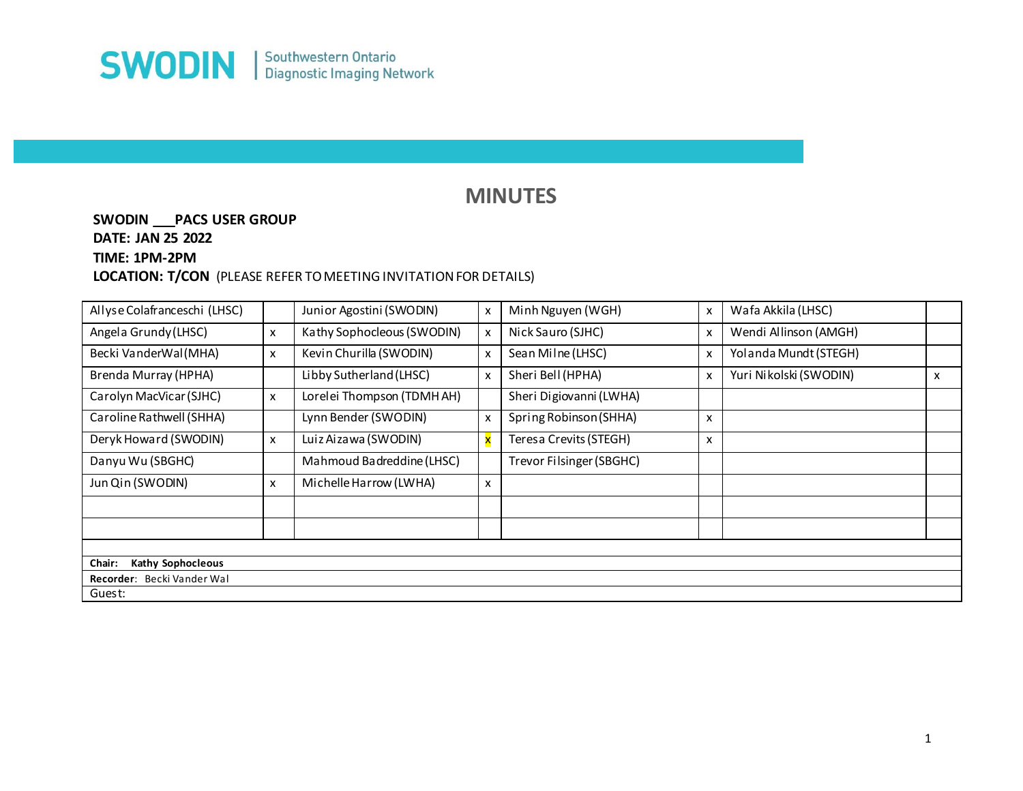

## **MINUTES**

## **SWODIN \_\_\_PACS USER GROUP DATE: JAN 25 2022 TIME: 1PM-2PM LOCATION: T/CON** (PLEASE REFER TO MEETING INVITATION FOR DETAILS)

| Allyse Colafranceschi (LHSC) |   | Junior Agostini (SWODIN)   | X                         | Minh Nguyen (WGH)        | $\boldsymbol{\mathsf{x}}$ | Wafa Akkila (LHSC)     |   |
|------------------------------|---|----------------------------|---------------------------|--------------------------|---------------------------|------------------------|---|
| Angela Grundy (LHSC)         | x | Kathy Sophocleous (SWODIN) | X                         | Nick Sauro (SJHC)        | X                         | Wendi Allinson (AMGH)  |   |
| Becki VanderWal(MHA)         | x | Kevin Churilla (SWODIN)    | X                         | Sean Milne (LHSC)        | $\boldsymbol{\mathsf{x}}$ | Yolanda Mundt (STEGH)  |   |
| Brenda Murray (HPHA)         |   | Libby Sutherland (LHSC)    | X                         | Sheri Bell (HPHA)        | X                         | Yuri Nikolski (SWODIN) | х |
| Carolyn MacVicar (SJHC)      | x | Lorelei Thompson (TDMH AH) |                           | Sheri Digiovanni (LWHA)  |                           |                        |   |
| Caroline Rathwell (SHHA)     |   | Lynn Bender (SWODIN)       | $\boldsymbol{\mathsf{x}}$ | Spring Robinson (SHHA)   | $\boldsymbol{\mathsf{x}}$ |                        |   |
| Deryk Howard (SWODIN)        | x | Luiz Aizawa (SWODIN)       | ×                         | Teresa Crevits (STEGH)   | X                         |                        |   |
| Danyu Wu (SBGHC)             |   | Mahmoud Badreddine (LHSC)  |                           | Trevor Filsinger (SBGHC) |                           |                        |   |
| Jun Qin (SWODIN)             | x | Michelle Harrow (LWHA)     | X                         |                          |                           |                        |   |
|                              |   |                            |                           |                          |                           |                        |   |
|                              |   |                            |                           |                          |                           |                        |   |
|                              |   |                            |                           |                          |                           |                        |   |
| Kathy Sophocleous<br>Chair:  |   |                            |                           |                          |                           |                        |   |
| Recorder: Becki Vander Wal   |   |                            |                           |                          |                           |                        |   |
| Guest:                       |   |                            |                           |                          |                           |                        |   |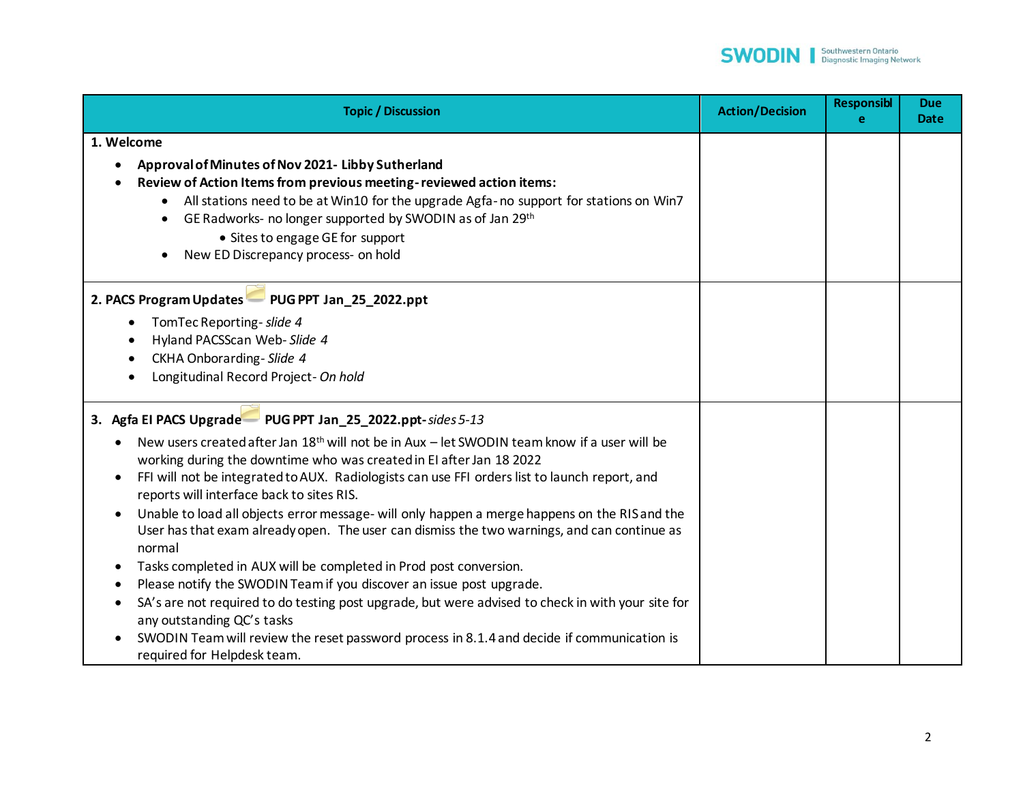

| <b>Topic / Discussion</b>                                                                                                                                                                                                                                                                                                                                                                                                                                                                                                                                                                                                                                                                                                                                                                                                                                                                                                                            | <b>Action/Decision</b> | <b>Responsibl</b><br>е | <b>Due</b><br><b>Date</b> |
|------------------------------------------------------------------------------------------------------------------------------------------------------------------------------------------------------------------------------------------------------------------------------------------------------------------------------------------------------------------------------------------------------------------------------------------------------------------------------------------------------------------------------------------------------------------------------------------------------------------------------------------------------------------------------------------------------------------------------------------------------------------------------------------------------------------------------------------------------------------------------------------------------------------------------------------------------|------------------------|------------------------|---------------------------|
| 1. Welcome                                                                                                                                                                                                                                                                                                                                                                                                                                                                                                                                                                                                                                                                                                                                                                                                                                                                                                                                           |                        |                        |                           |
| Approval of Minutes of Nov 2021- Libby Sutherland<br>Review of Action Items from previous meeting-reviewed action items:<br>All stations need to be at Win10 for the upgrade Agfa-no support for stations on Win7<br>GE Radworks- no longer supported by SWODIN as of Jan 29th<br>• Sites to engage GE for support<br>New ED Discrepancy process- on hold                                                                                                                                                                                                                                                                                                                                                                                                                                                                                                                                                                                            |                        |                        |                           |
| 2. PACS Program Updates PUG PPT Jan_25_2022.ppt                                                                                                                                                                                                                                                                                                                                                                                                                                                                                                                                                                                                                                                                                                                                                                                                                                                                                                      |                        |                        |                           |
| TomTec Reporting- slide 4<br>Hyland PACSScan Web-Slide 4<br>CKHA Onborarding-Slide 4<br>Longitudinal Record Project- On hold                                                                                                                                                                                                                                                                                                                                                                                                                                                                                                                                                                                                                                                                                                                                                                                                                         |                        |                        |                           |
| 3. Agfa El PACS Upgrade PUG PPT Jan_25_2022.ppt-sides 5-13                                                                                                                                                                                                                                                                                                                                                                                                                                                                                                                                                                                                                                                                                                                                                                                                                                                                                           |                        |                        |                           |
| New users created after Jan 18 <sup>th</sup> will not be in Aux - let SWODIN team know if a user will be<br>working during the downtime who was created in EI after Jan 18 2022<br>FFI will not be integrated to AUX. Radiologists can use FFI orders list to launch report, and<br>reports will interface back to sites RIS.<br>Unable to load all objects error message- will only happen a merge happens on the RIS and the<br>User has that exam already open. The user can dismiss the two warnings, and can continue as<br>normal<br>Tasks completed in AUX will be completed in Prod post conversion.<br>Please notify the SWODIN Team if you discover an issue post upgrade.<br>SA's are not required to do testing post upgrade, but were advised to check in with your site for<br>any outstanding QC's tasks<br>SWODIN Team will review the reset password process in 8.1.4 and decide if communication is<br>required for Helpdesk team. |                        |                        |                           |